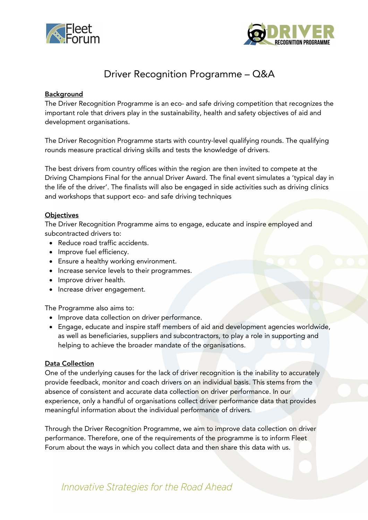



# Driver Recognition Programme – Q&A

## Background

The Driver Recognition Programme is an eco- and safe driving competition that recognizes the important role that drivers play in the sustainability, health and safety objectives of aid and development organisations.

The Driver Recognition Programme starts with country-level qualifying rounds. The qualifying rounds measure practical driving skills and tests the knowledge of drivers.

The best drivers from country offices within the region are then invited to compete at the Driving Champions Final for the annual Driver Award. The final event simulates a 'typical day in the life of the driver'. The finalists will also be engaged in side activities such as driving clinics and workshops that support eco- and safe driving techniques

## **Objectives**

The Driver Recognition Programme aims to engage, educate and inspire employed and subcontracted drivers to:

- Reduce road traffic accidents.
- Improve fuel efficiency.
- Ensure a healthy working environment.
- Increase service levels to their programmes.
- Improve driver health.
- Increase driver engagement.

The Programme also aims to:

- Improve data collection on driver performance.
- Engage, educate and inspire staff members of aid and development agencies worldwide, as well as beneficiaries, suppliers and subcontractors, to play a role in supporting and helping to achieve the broader mandate of the organisations.

#### Data Collection

One of the underlying causes for the lack of driver recognition is the inability to accurately provide feedback, monitor and coach drivers on an individual basis. This stems from the absence of consistent and accurate data collection on driver performance. In our experience, only a handful of organisations collect driver performance data that provides meaningful information about the individual performance of drivers.

Through the Driver Recognition Programme, we aim to improve data collection on driver performance. Therefore, one of the requirements of the programme is to inform Fleet Forum about the ways in which you collect data and then share this data with us.

# Innovative Strategies for the Road Ahead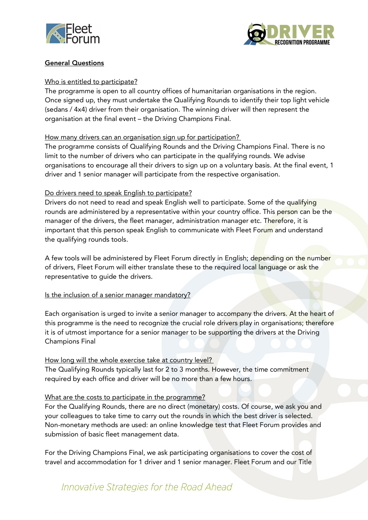



## General Questions

## Who is entitled to participate?

The programme is open to all country offices of humanitarian organisations in the region. Once signed up, they must undertake the Qualifying Rounds to identify their top light vehicle (sedans / 4x4) driver from their organisation. The winning driver will then represent the organisation at the final event – the Driving Champions Final.

## How many drivers can an organisation sign up for participation?

The programme consists of Qualifying Rounds and the Driving Champions Final. There is no limit to the number of drivers who can participate in the qualifying rounds. We advise organisations to encourage all their drivers to sign up on a voluntary basis. At the final event, 1 driver and 1 senior manager will participate from the respective organisation.

## Do drivers need to speak English to participate?

Drivers do not need to read and speak English well to participate. Some of the qualifying rounds are administered by a representative within your country office. This person can be the manager of the drivers, the fleet manager, administration manager etc. Therefore, it is important that this person speak English to communicate with Fleet Forum and understand the qualifying rounds tools.

A few tools will be administered by Fleet Forum directly in English; depending on the number of drivers, Fleet Forum will either translate these to the required local language or ask the representative to guide the drivers.

## Is the inclusion of a senior manager mandatory?

Each organisation is urged to invite a senior manager to accompany the drivers. At the heart of this programme is the need to recognize the crucial role drivers play in organisations; therefore it is of utmost importance for a senior manager to be supporting the drivers at the Driving Champions Final

#### How long will the whole exercise take at country level?

The Qualifying Rounds typically last for 2 to 3 months. However, the time commitment required by each office and driver will be no more than a few hours.

#### What are the costs to participate in the programme?

For the Qualifying Rounds, there are no direct (monetary) costs. Of course, we ask you and your colleagues to take time to carry out the rounds in which the best driver is selected. Non-monetary methods are used: an online knowledge test that Fleet Forum provides and submission of basic fleet management data.

For the Driving Champions Final, we ask participating organisations to cover the cost of travel and accommodation for 1 driver and 1 senior manager. Fleet Forum and our Title

# Innovative Strategies for the Road Ahead